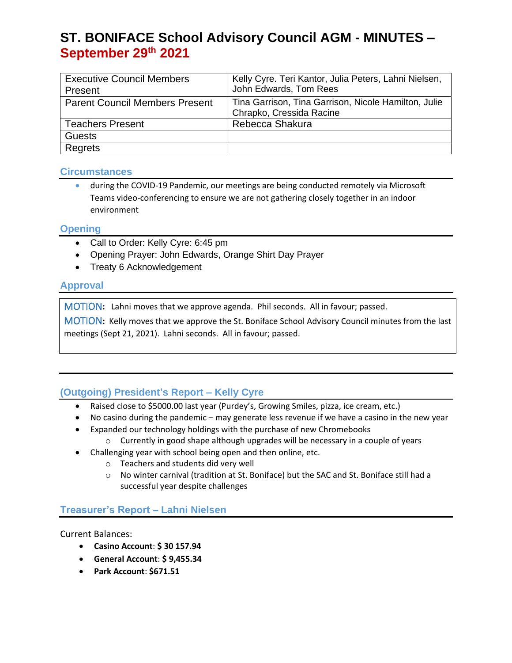# **ST. BONIFACE School Advisory Council AGM - MINUTES – September 29th 2021**

| <b>Executive Council Members</b>      | Kelly Cyre. Teri Kantor, Julia Peters, Lahni Nielsen, |
|---------------------------------------|-------------------------------------------------------|
| Present                               | John Edwards, Tom Rees                                |
| <b>Parent Council Members Present</b> | Tina Garrison, Tina Garrison, Nicole Hamilton, Julie  |
|                                       | Chrapko, Cressida Racine                              |
| <b>Teachers Present</b>               | Rebecca Shakura                                       |
| <b>Guests</b>                         |                                                       |
| Regrets                               |                                                       |

#### **Circumstances**

• during the COVID-19 Pandemic, our meetings are being conducted remotely via Microsoft Teams video-conferencing to ensure we are not gathering closely together in an indoor environment

### **Opening**

- Call to Order: Kelly Cyre: 6:45 pm
- Opening Prayer: John Edwards, Orange Shirt Day Prayer
- Treaty 6 Acknowledgement

## **Approval**

MOTION**:** Lahni moves that we approve agenda. Phil seconds. All in favour; passed.

MOTION**:** Kelly moves that we approve the St. Boniface School Advisory Council minutes from the last meetings (Sept 21, 2021). Lahni seconds. All in favour; passed.

## **(Outgoing) President's Report – Kelly Cyre**

- Raised close to \$5000.00 last year (Purdey's, Growing Smiles, pizza, ice cream, etc.)
- No casino during the pandemic may generate less revenue if we have a casino in the new year
- Expanded our technology holdings with the purchase of new Chromebooks
	- $\circ$  Currently in good shape although upgrades will be necessary in a couple of years
- Challenging year with school being open and then online, etc.
	- o Teachers and students did very well
	- o No winter carnival (tradition at St. Boniface) but the SAC and St. Boniface still had a successful year despite challenges

## **Treasurer's Report – Lahni Nielsen**

Current Balances:

- **Casino Account**: **\$ 30 157.94**
- **General Account**: **\$ 9,455.34**
- **Park Account**: **\$671.51**